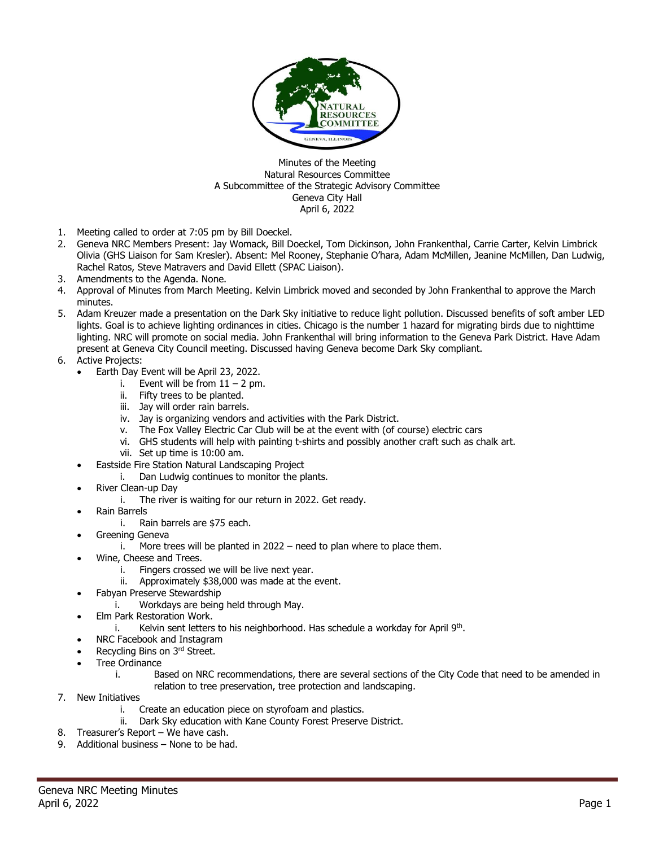

Minutes of the Meeting Natural Resources Committee A Subcommittee of the Strategic Advisory Committee Geneva City Hall April 6, 2022

- 1. Meeting called to order at 7:05 pm by Bill Doeckel.
- 2. Geneva NRC Members Present: Jay Womack, Bill Doeckel, Tom Dickinson, John Frankenthal, Carrie Carter, Kelvin Limbrick Olivia (GHS Liaison for Sam Kresler). Absent: Mel Rooney, Stephanie O'hara, Adam McMillen, Jeanine McMillen, Dan Ludwig, Rachel Ratos, Steve Matravers and David Ellett (SPAC Liaison).
- 3. Amendments to the Agenda. None.
- 4. Approval of Minutes from March Meeting. Kelvin Limbrick moved and seconded by John Frankenthal to approve the March minutes.
- 5. Adam Kreuzer made a presentation on the Dark Sky initiative to reduce light pollution. Discussed benefits of soft amber LED lights. Goal is to achieve lighting ordinances in cities. Chicago is the number 1 hazard for migrating birds due to nighttime lighting. NRC will promote on social media. John Frankenthal will bring information to the Geneva Park District. Have Adam present at Geneva City Council meeting. Discussed having Geneva become Dark Sky compliant.
- 6. Active Projects:
	- Earth Day Event will be April 23, 2022.
		- i. Event will be from  $11 2$  pm.
		- ii. Fifty trees to be planted.
		- iii. Jay will order rain barrels.
		- iv. Jay is organizing vendors and activities with the Park District.
		- v. The Fox Valley Electric Car Club will be at the event with (of course) electric cars
		- vi. GHS students will help with painting t-shirts and possibly another craft such as chalk art.
		- vii. Set up time is 10:00 am.
	- Eastside Fire Station Natural Landscaping Project
		- i. Dan Ludwig continues to monitor the plants.
	- River Clean-up Day
		- i. The river is waiting for our return in 2022. Get ready.
	- Rain Barrels
		- i. Rain barrels are \$75 each.
	- Greening Geneva
		- i. More trees will be planted in 2022 need to plan where to place them.
	- Wine, Cheese and Trees.
		- i. Fingers crossed we will be live next year.
		- ii. Approximately \$38,000 was made at the event.
	- Fabyan Preserve Stewardship
		- i. Workdays are being held through May.
	- Elm Park Restoration Work.
		- i. Kelvin sent letters to his neighborhood. Has schedule a workday for April 9<sup>th</sup>.
	- NRC Facebook and Instagram
	- Recycling Bins on 3rd Street.
	- Tree Ordinance
		- i. Based on NRC recommendations, there are several sections of the City Code that need to be amended in relation to tree preservation, tree protection and landscaping.
- 7. New Initiatives
	- i. Create an education piece on styrofoam and plastics.
	- ii. Dark Sky education with Kane County Forest Preserve District.
- 8. Treasurer's Report We have cash.
- 9. Additional business None to be had.